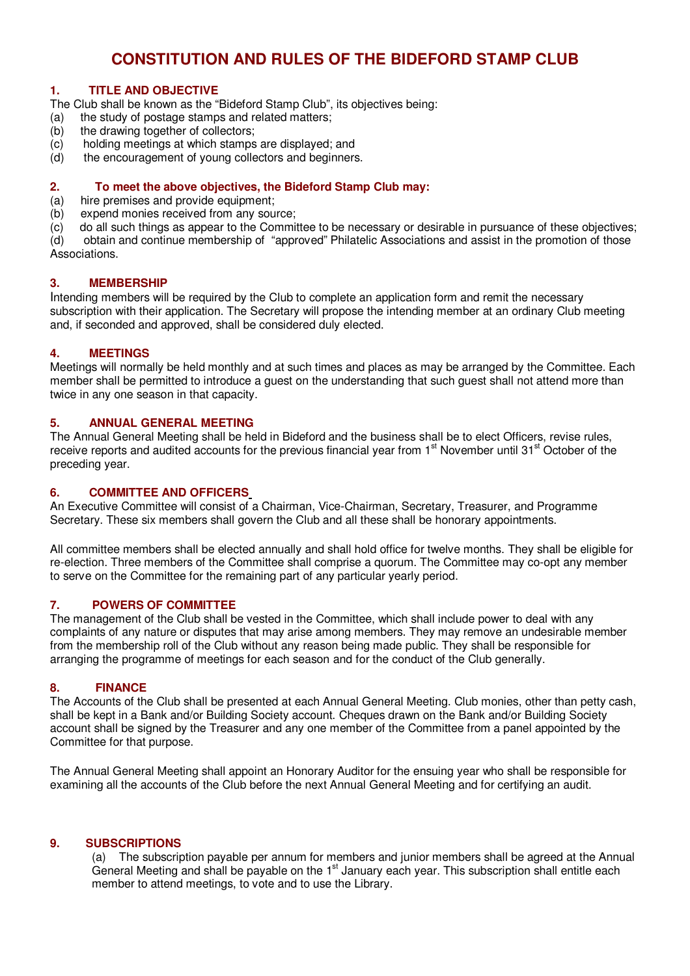# **CONSTITUTION AND RULES OF THE BIDEFORD STAMP CLUB**

# **1. TITLE AND OBJECTIVE**

The Club shall be known as the "Bideford Stamp Club", its objectives being:

- (a) the study of postage stamps and related matters;
- (b) the drawing together of collectors;
- (c) holding meetings at which stamps are displayed; and
- (d) the encouragement of young collectors and beginners.

# **2. To meet the above objectives, the Bideford Stamp Club may:**

- (a) hire premises and provide equipment;
- (b) expend monies received from any source;
- $\overline{c}$  do all such things as appear to the Committee to be necessary or desirable in pursuance of these objectives;<br>(d) obtain and continue membership of "approved" Philatelic Associations and assist in the promotion of

(d) obtain and continue membership of "approved" Philatelic Associations and assist in the promotion of those Associations.

# **3. MEMBERSHIP**

Intending members will be required by the Club to complete an application form and remit the necessary subscription with their application. The Secretary will propose the intending member at an ordinary Club meeting and, if seconded and approved, shall be considered duly elected.

# **4. MEETINGS**

Meetings will normally be held monthly and at such times and places as may be arranged by the Committee. Each member shall be permitted to introduce a guest on the understanding that such guest shall not attend more than twice in any one season in that capacity.

#### **5. ANNUAL GENERAL MEETING**

The Annual General Meeting shall be held in Bideford and the business shall be to elect Officers, revise rules, receive reports and audited accounts for the previous financial year from 1<sup>st</sup> November until 31<sup>st</sup> October of the preceding year.

#### **6. COMMITTEE AND OFFICERS**

An Executive Committee will consist of a Chairman, Vice-Chairman, Secretary, Treasurer, and Programme Secretary. These six members shall govern the Club and all these shall be honorary appointments.

All committee members shall be elected annually and shall hold office for twelve months. They shall be eligible for re-election. Three members of the Committee shall comprise a quorum. The Committee may co-opt any member to serve on the Committee for the remaining part of any particular yearly period.

# **7. POWERS OF COMMITTEE**

The management of the Club shall be vested in the Committee, which shall include power to deal with any complaints of any nature or disputes that may arise among members. They may remove an undesirable member from the membership roll of the Club without any reason being made public. They shall be responsible for arranging the programme of meetings for each season and for the conduct of the Club generally.

# **8. FINANCE**

The Accounts of the Club shall be presented at each Annual General Meeting. Club monies, other than petty cash, shall be kept in a Bank and/or Building Society account. Cheques drawn on the Bank and/or Building Society account shall be signed by the Treasurer and any one member of the Committee from a panel appointed by the Committee for that purpose.

The Annual General Meeting shall appoint an Honorary Auditor for the ensuing year who shall be responsible for examining all the accounts of the Club before the next Annual General Meeting and for certifying an audit.

# **9. SUBSCRIPTIONS**

(a) The subscription payable per annum for members and junior members shall be agreed at the Annual General Meeting and shall be payable on the 1<sup>st</sup> January each year. This subscription shall entitle each member to attend meetings, to vote and to use the Library.